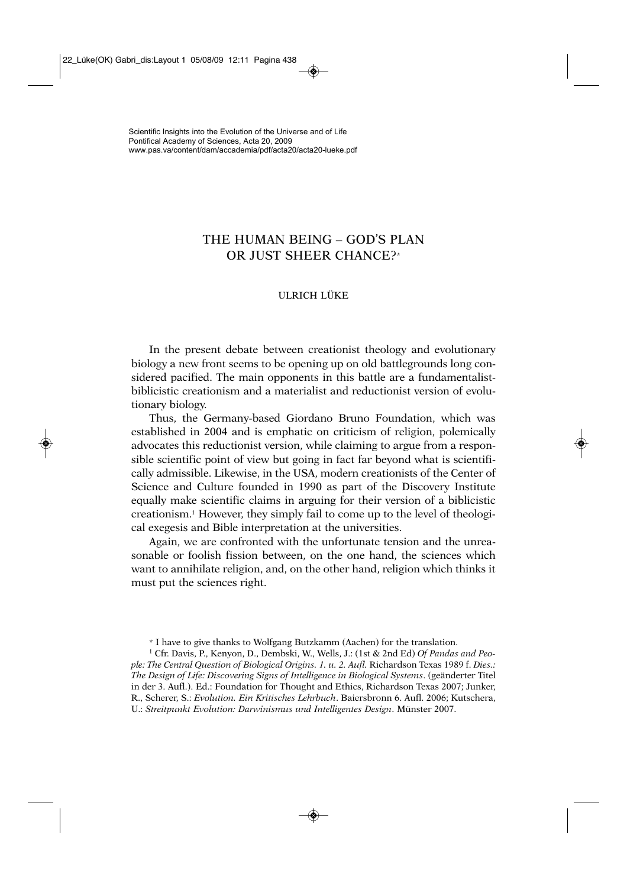# THE HUMAN BEING – GOD'S PLAN OR JUST SHEER CHANCE?\*

## ULRICH LÜKE

In the present debate between creationist theology and evolutionary biology a new front seems to be opening up on old battlegrounds long considered pacified. The main opponents in this battle are a fundamentalistbiblicistic creationism and a materialist and reductionist version of evolutionary biology.

Thus, the Germany-based Giordano Bruno Foundation, which was established in 2004 and is emphatic on criticism of religion, polemically advocates this reductionist version, while claiming to argue from a responsible scientific point of view but going in fact far beyond what is scientifically admissible. Likewise, in the USA, modern creationists of the Center of Science and Culture founded in 1990 as part of the Discovery Institute equally make scientific claims in arguing for their version of a biblicistic creationism.1 However, they simply fail to come up to the level of theological exegesis and Bible interpretation at the universities.

Again, we are confronted with the unfortunate tension and the unreasonable or foolish fission between, on the one hand, the sciences which want to annihilate religion, and, on the other hand, religion which thinks it must put the sciences right.

\* I have to give thanks to Wolfgang Butzkamm (Aachen) for the translation.

<sup>1</sup> Cfr. Davis, P., Kenyon, D., Dembski, W., Wells, J.: (1st & 2nd Ed) *Of Pandas and People: The Central Question of Biological Origins. 1. u. 2. Aufl.* Richardson Texas 1989 f. *Dies.: The Design of Life: Discovering Signs of Intelligence in Biological Systems*. (geänderter Titel in der 3. Aufl.). Ed.: Foundation for Thought and Ethics, Richardson Texas 2007; Junker, R., Scherer, S.: *Evolution. Ein Kritisches Lehrbuch*. Baiersbronn 6. Aufl. 2006; Kutschera, U.: *Streitpunkt Evolution: Darwinismus und Intelligentes Design*. Münster 2007.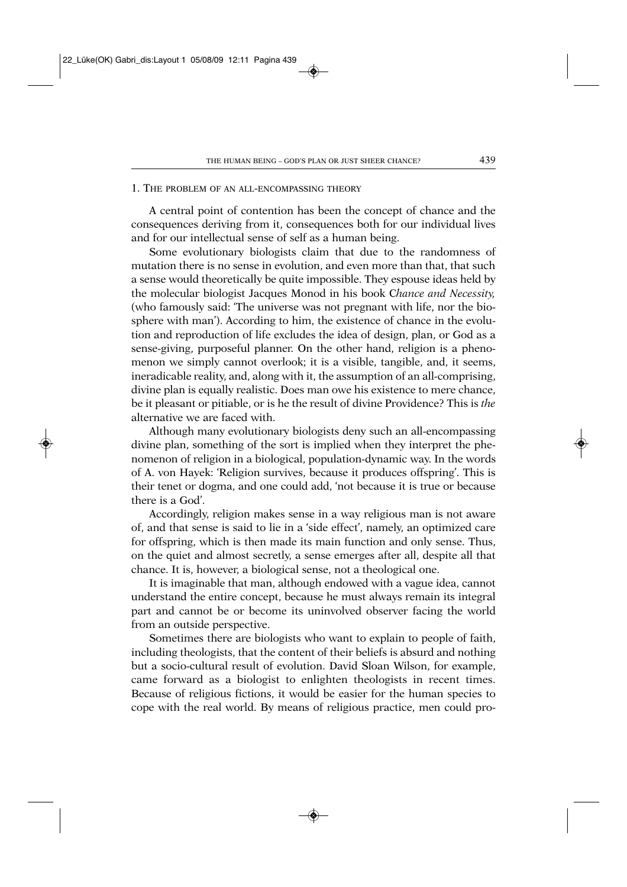#### 1. THE PROBLEM OF AN ALL-ENCOMPASSING THEORY

A central point of contention has been the concept of chance and the consequences deriving from it, consequences both for our individual lives and for our intellectual sense of self as a human being.

Some evolutionary biologists claim that due to the randomness of mutation there is no sense in evolution, and even more than that, that such a sense would theoretically be quite impossible. They espouse ideas held by the molecular biologist Jacques Monod in his book C*hance and Necessity,* (who famously said: 'The universe was not pregnant with life, nor the biosphere with man'). According to him, the existence of chance in the evolution and reproduction of life excludes the idea of design, plan, or God as a sense-giving, purposeful planner. On the other hand, religion is a phenomenon we simply cannot overlook; it is a visible, tangible, and, it seems, ineradicable reality, and, along with it, the assumption of an all-comprising, divine plan is equally realistic. Does man owe his existence to mere chance, be it pleasant or pitiable, or is he the result of divine Providence? This is *the* alternative we are faced with.

Although many evolutionary biologists deny such an all-encompassing divine plan, something of the sort is implied when they interpret the phenomenon of religion in a biological, population-dynamic way. In the words of A. von Hayek: 'Religion survives, because it produces offspring'. This is their tenet or dogma, and one could add, 'not because it is true or because there is a God'.

Accordingly, religion makes sense in a way religious man is not aware of, and that sense is said to lie in a 'side effect', namely, an optimized care for offspring, which is then made its main function and only sense. Thus, on the quiet and almost secretly, a sense emerges after all, despite all that chance. It is, however, a biological sense, not a theological one.

It is imaginable that man, although endowed with a vague idea, cannot understand the entire concept, because he must always remain its integral part and cannot be or become its uninvolved observer facing the world from an outside perspective.

Sometimes there are biologists who want to explain to people of faith, including theologists, that the content of their beliefs is absurd and nothing but a socio-cultural result of evolution. David Sloan Wilson, for example, came forward as a biologist to enlighten theologists in recent times. Because of religious fictions, it would be easier for the human species to cope with the real world. By means of religious practice, men could pro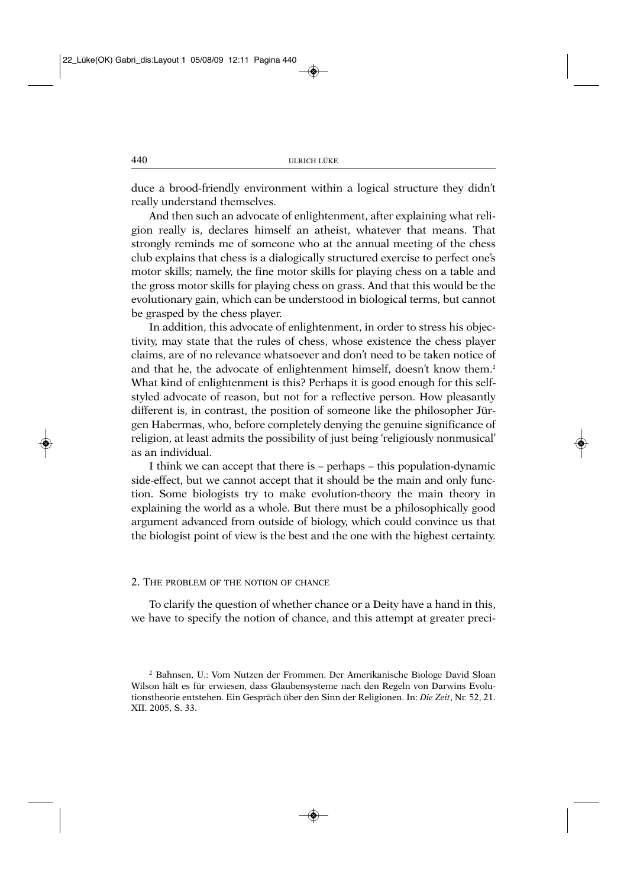duce a brood-friendly environment within a logical structure they didn't really understand themselves.

And then such an advocate of enlightenment, after explaining what religion really is, declares himself an atheist, whatever that means. That strongly reminds me of someone who at the annual meeting of the chess club explains that chess is a dialogically structured exercise to perfect one's motor skills; namely, the fine motor skills for playing chess on a table and the gross motor skills for playing chess on grass. And that this would be the evolutionary gain, which can be understood in biological terms, but cannot be grasped by the chess player.

In addition, this advocate of enlightenment, in order to stress his objectivity, may state that the rules of chess, whose existence the chess player claims, are of no relevance whatsoever and don't need to be taken notice of and that he, the advocate of enlightenment himself, doesn't know them.<sup>2</sup> What kind of enlightenment is this? Perhaps it is good enough for this selfstyled advocate of reason, but not for a reflective person. How pleasantly different is, in contrast, the position of someone like the philosopher Jürgen Habermas, who, before completely denying the genuine significance of religion, at least admits the possibility of just being 'religiously nonmusical' as an individual.

I think we can accept that there is – perhaps – this population-dynamic side-effect, but we cannot accept that it should be the main and only function. Some biologists try to make evolution-theory the main theory in explaining the world as a whole. But there must be a philosophically good argument advanced from outside of biology, which could convince us that the biologist point of view is the best and the one with the highest certainty.

#### 2. THE PROBLEM OF THE NOTION OF CHANCE

To clarify the question of whether chance or a Deity have a hand in this, we have to specify the notion of chance, and this attempt at greater preci-

<sup>2</sup> Bahnsen, U.: Vom Nutzen der Frommen. Der Amerikanische Biologe David Sloan Wilson hält es für erwiesen, dass Glaubensysteme nach den Regeln von Darwins Evolutionstheorie entstehen. Ein Gespräch über den Sinn der Religionen. In: *Die Zeit*, Nr. 52, 21. XII. 2005, S. 33.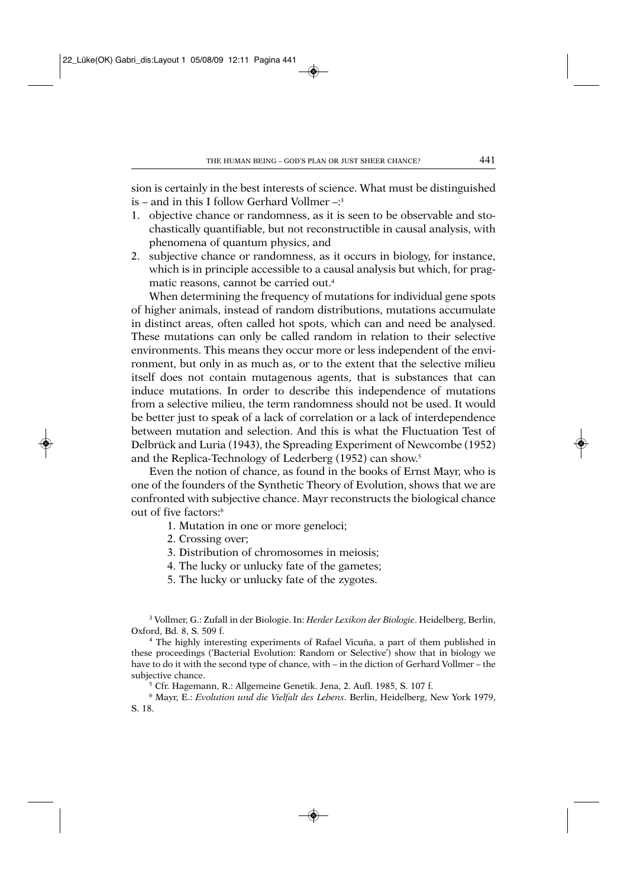sion is certainly in the best interests of science. What must be distinguished is – and in this I follow Gerhard Vollmer  $-3$ 

- 1. objective chance or randomness, as it is seen to be observable and stochastically quantifiable, but not reconstructible in causal analysis, with phenomena of quantum physics, and
- 2. subjective chance or randomness, as it occurs in biology, for instance, which is in principle accessible to a causal analysis but which, for pragmatic reasons, cannot be carried out.4

When determining the frequency of mutations for individual gene spots of higher animals, instead of random distributions, mutations accumulate in distinct areas, often called hot spots, which can and need be analysed. These mutations can only be called random in relation to their selective environments. This means they occur more or less independent of the environment, but only in as much as, or to the extent that the selective milieu itself does not contain mutagenous agents, that is substances that can induce mutations. In order to describe this independence of mutations from a selective milieu, the term randomness should not be used. It would be better just to speak of a lack of correlation or a lack of interdependence between mutation and selection. And this is what the Fluctuation Test of Delbrück and Luria (1943), the Spreading Experiment of Newcombe (1952) and the Replica-Technology of Lederberg (1952) can show.5

Even the notion of chance, as found in the books of Ernst Mayr, who is one of the founders of the Synthetic Theory of Evolution, shows that we are confronted with subjective chance. Mayr reconstructs the biological chance out of five factors:6

- 1. Mutation in one or more geneloci;
- 2. Crossing over;
- 3. Distribution of chromosomes in meiosis;
- 4. The lucky or unlucky fate of the gametes;
- 5. The lucky or unlucky fate of the zygotes.

<sup>3</sup> Vollmer, G.: Zufall in der Biologie. In: *Herder Lexikon der Biologie*. Heidelberg, Berlin, Oxford, Bd. 8, S. 509 f.

<sup>4</sup> The highly interesting experiments of Rafael Vicuña, a part of them published in these proceedings ('Bacterial Evolution: Random or Selective') show that in biology we have to do it with the second type of chance, with – in the diction of Gerhard Vollmer – the subjective chance.

<sup>5</sup> Cfr. Hagemann, R.: Allgemeine Genetik. Jena, 2. Aufl. 1985, S. 107 f.

<sup>6</sup> Mayr, E.: *Evolution und die Vielfalt des Lebens*. Berlin, Heidelberg, New York 1979, S. 18.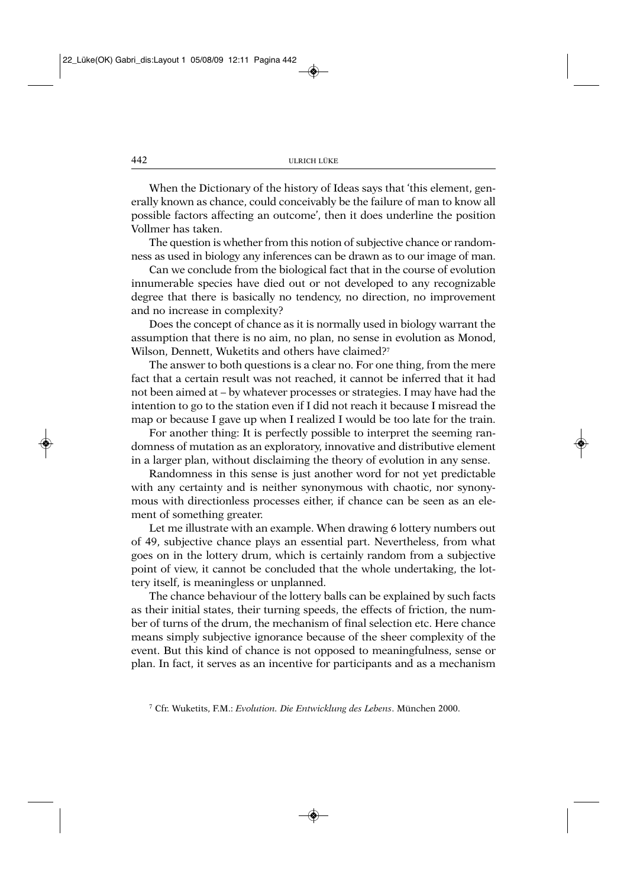When the Dictionary of the history of Ideas says that 'this element, generally known as chance, could conceivably be the failure of man to know all possible factors affecting an outcome', then it does underline the position Vollmer has taken.

The question is whether from this notion of subjective chance or randomness as used in biology any inferences can be drawn as to our image of man.

Can we conclude from the biological fact that in the course of evolution innumerable species have died out or not developed to any recognizable degree that there is basically no tendency, no direction, no improvement and no increase in complexity?

Does the concept of chance as it is normally used in biology warrant the assumption that there is no aim, no plan, no sense in evolution as Monod, Wilson, Dennett, Wuketits and others have claimed?<sup>7</sup>

The answer to both questions is a clear no. For one thing, from the mere fact that a certain result was not reached, it cannot be inferred that it had not been aimed at – by whatever processes or strategies. I may have had the intention to go to the station even if I did not reach it because I misread the map or because I gave up when I realized I would be too late for the train.

For another thing: It is perfectly possible to interpret the seeming randomness of mutation as an exploratory, innovative and distributive element in a larger plan, without disclaiming the theory of evolution in any sense.

Randomness in this sense is just another word for not yet predictable with any certainty and is neither synonymous with chaotic, nor synonymous with directionless processes either, if chance can be seen as an element of something greater.

Let me illustrate with an example. When drawing 6 lottery numbers out of 49, subjective chance plays an essential part. Nevertheless, from what goes on in the lottery drum, which is certainly random from a subjective point of view, it cannot be concluded that the whole undertaking, the lottery itself, is meaningless or unplanned.

The chance behaviour of the lottery balls can be explained by such facts as their initial states, their turning speeds, the effects of friction, the number of turns of the drum, the mechanism of final selection etc. Here chance means simply subjective ignorance because of the sheer complexity of the event. But this kind of chance is not opposed to meaningfulness, sense or plan. In fact, it serves as an incentive for participants and as a mechanism

<sup>7</sup> Cfr. Wuketits, F.M.: *Evolution. Die Entwicklung des Lebens*. München 2000.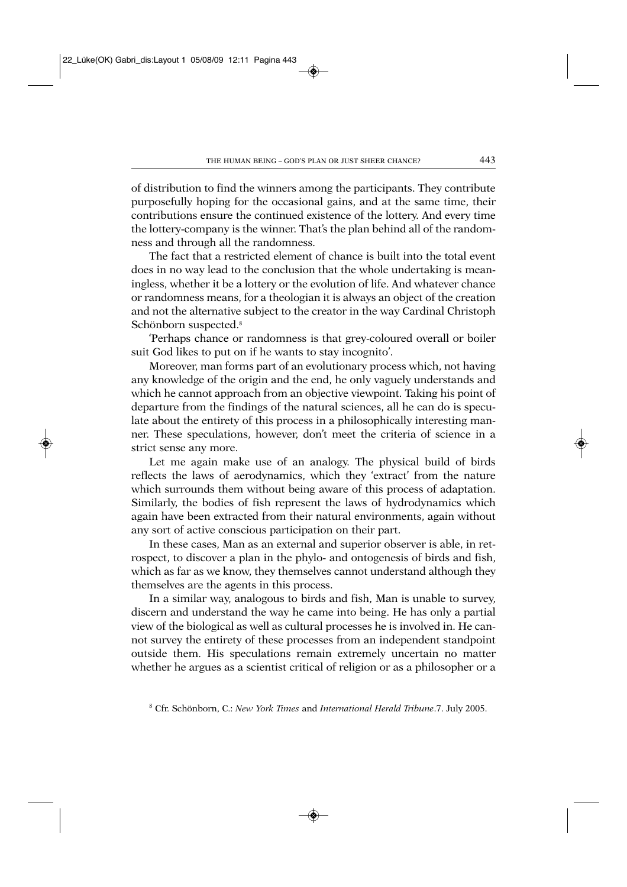of distribution to find the winners among the participants. They contribute purposefully hoping for the occasional gains, and at the same time, their contributions ensure the continued existence of the lottery. And every time the lottery-company is the winner. That's the plan behind all of the randomness and through all the randomness.

The fact that a restricted element of chance is built into the total event does in no way lead to the conclusion that the whole undertaking is meaningless, whether it be a lottery or the evolution of life. And whatever chance or randomness means, for a theologian it is always an object of the creation and not the alternative subject to the creator in the way Cardinal Christoph Schönborn suspected.<sup>8</sup>

'Perhaps chance or randomness is that grey-coloured overall or boiler suit God likes to put on if he wants to stay incognito'.

Moreover, man forms part of an evolutionary process which, not having any knowledge of the origin and the end, he only vaguely understands and which he cannot approach from an objective viewpoint. Taking his point of departure from the findings of the natural sciences, all he can do is speculate about the entirety of this process in a philosophically interesting manner. These speculations, however, don't meet the criteria of science in a strict sense any more.

Let me again make use of an analogy. The physical build of birds reflects the laws of aerodynamics, which they 'extract' from the nature which surrounds them without being aware of this process of adaptation. Similarly, the bodies of fish represent the laws of hydrodynamics which again have been extracted from their natural environments, again without any sort of active conscious participation on their part.

In these cases, Man as an external and superior observer is able, in retrospect, to discover a plan in the phylo- and ontogenesis of birds and fish, which as far as we know, they themselves cannot understand although they themselves are the agents in this process.

In a similar way, analogous to birds and fish, Man is unable to survey, discern and understand the way he came into being. He has only a partial view of the biological as well as cultural processes he is involved in. He cannot survey the entirety of these processes from an independent standpoint outside them. His speculations remain extremely uncertain no matter whether he argues as a scientist critical of religion or as a philosopher or a

<sup>8</sup> Cfr. Schönborn, C.: *New York Times* and *International Herald Tribune*.7. July 2005.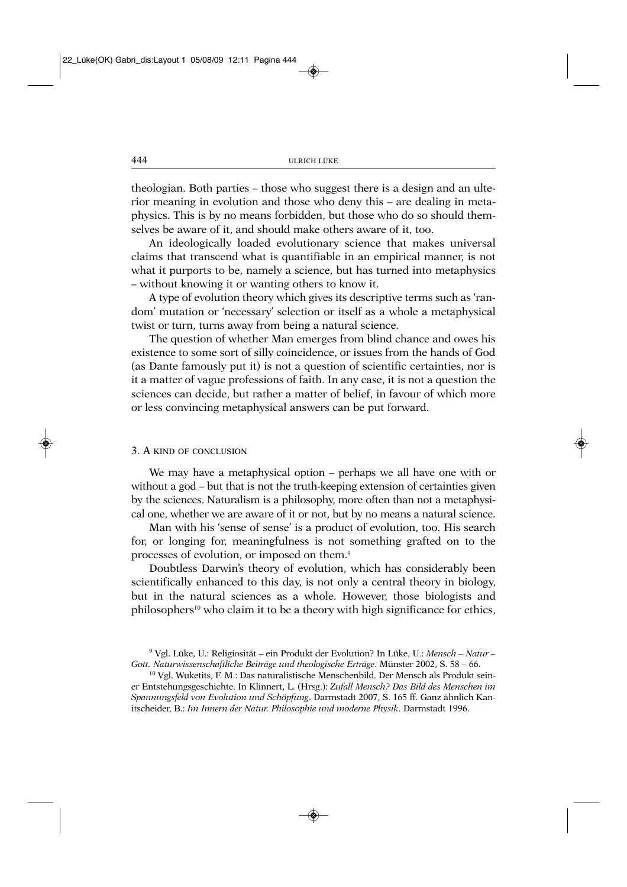theologian. Both parties – those who suggest there is a design and an ulterior meaning in evolution and those who deny this – are dealing in metaphysics. This is by no means forbidden, but those who do so should themselves be aware of it, and should make others aware of it, too.

An ideologically loaded evolutionary science that makes universal claims that transcend what is quantifiable in an empirical manner, is not what it purports to be, namely a science, but has turned into metaphysics – without knowing it or wanting others to know it.

A type of evolution theory which gives its descriptive terms such as 'random' mutation or 'necessary' selection or itself as a whole a metaphysical twist or turn, turns away from being a natural science.

The question of whether Man emerges from blind chance and owes his existence to some sort of silly coincidence, or issues from the hands of God (as Dante famously put it) is not a question of scientific certainties, nor is it a matter of vague professions of faith. In any case, it is not a question the sciences can decide, but rather a matter of belief, in favour of which more or less convincing metaphysical answers can be put forward.

### 3. A KIND OF CONCLUSION

We may have a metaphysical option – perhaps we all have one with or without a god – but that is not the truth-keeping extension of certainties given by the sciences. Naturalism is a philosophy, more often than not a metaphysical one, whether we are aware of it or not, but by no means a natural science.

Man with his 'sense of sense' is a product of evolution, too. His search for, or longing for, meaningfulness is not something grafted on to the processes of evolution, or imposed on them.9

Doubtless Darwin's theory of evolution, which has considerably been scientifically enhanced to this day, is not only a central theory in biology, but in the natural sciences as a whole. However, those biologists and philosophers<sup>10</sup> who claim it to be a theory with high significance for ethics,

<sup>9</sup> Vgl. Lüke, U.: Religiosität – ein Produkt der Evolution? In Lüke, U.: *Mensch – Natur – Gott. Naturwissenschaftliche Beiträge und theologische Erträge*. Münster 2002, S. 58 – 66.

<sup>10</sup> Vgl. Wuketits, F. M.: Das naturalistische Menschenbild. Der Mensch als Produkt seiner Entstehungsgeschichte. In Klinnert, L. (Hrsg.): *Zufall Mensch? Das Bild des Menschen im Spannungsfeld von Evolution und Schöpfung*. Darmstadt 2007, S. 165 ff. Ganz ähnlich Kanitscheider, B.: *Im Innern der Natur. Philosophie und moderne Physik*. Darmstadt 1996.